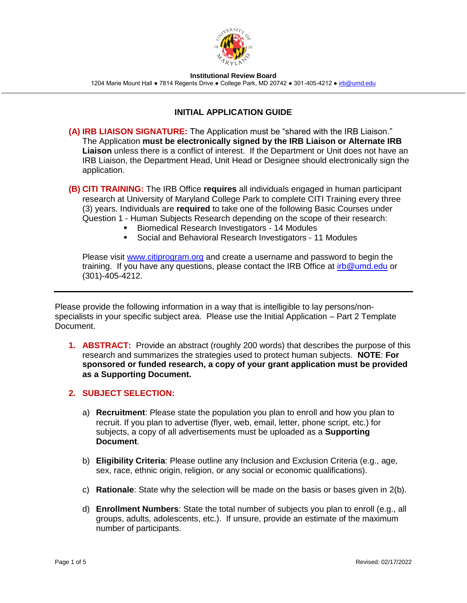

**Institutional Review Board**

1204 Marie Mount Hall ● 7814 Regents Drive ● College Park, MD 20742 ● 301-405-4212 [● irb@umd.edu](mailto:irb@umd.edu)

# **INITIAL APPLICATION GUIDE**

**(A) IRB LIAISON SIGNATURE:** The Application must be "shared with the IRB Liaison." The Application **must be electronically signed by the IRB Liaison or Alternate IRB Liaison** unless there is a conflict of interest. If the Department or Unit does not have an IRB Liaison, the Department Head, Unit Head or Designee should electronically sign the application.

**(B) CITI TRAINING:** The IRB Office **requires** all individuals engaged in human participant research at University of Maryland College Park to complete CITI Training every three (3) years. Individuals are **required** to take one of the following Basic Courses under Question 1 - Human Subjects Research depending on the scope of their research:

- Biomedical Research Investigators 14 Modules
- Social and Behavioral Research Investigators 11 Modules

Please visit [www.citiprogram.org](http://www.citiprogram.org/) and create a username and password to begin the training. If you have any questions, please contact the IRB Office at [irb@umd.edu](mailto:irb@umd.edu) or (301)-405-4212.

Please provide the following information in a way that is intelligible to lay persons/nonspecialists in your specific subject area. Please use the Initial Application – Part 2 Template Document.

**1. ABSTRACT:** Provide an abstract (roughly 200 words) that describes the purpose of this research and summarizes the strategies used to protect human subjects. **NOTE**: **For sponsored or funded research, a copy of your grant application must be provided as a Supporting Document.**

## **2. SUBJECT SELECTION:**

- a) **Recruitment**: Please state the population you plan to enroll and how you plan to recruit. If you plan to advertise (flyer, web, email, letter, phone script, etc.) for subjects, a copy of all advertisements must be uploaded as a **Supporting Document**.
- b) **Eligibility Criteria**: Please outline any Inclusion and Exclusion Criteria (e.g., age, sex, race, ethnic origin, religion, or any social or economic qualifications).
- c) **Rationale**: State why the selection will be made on the basis or bases given in 2(b).
- d) **Enrollment Numbers**: State the total number of subjects you plan to enroll (e.g., all groups, adults, adolescents, etc.). If unsure, provide an estimate of the maximum number of participants.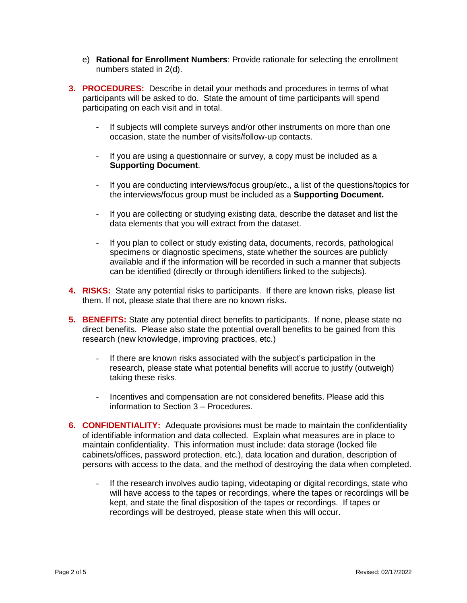- e) **Rational for Enrollment Numbers**: Provide rationale for selecting the enrollment numbers stated in 2(d).
- **3. PROCEDURES:** Describe in detail your methods and procedures in terms of what participants will be asked to do. State the amount of time participants will spend participating on each visit and in total.
	- **-** If subjects will complete surveys and/or other instruments on more than one occasion, state the number of visits/follow-up contacts.
	- If you are using a questionnaire or survey, a copy must be included as a **Supporting Document**.
	- If you are conducting interviews/focus group/etc., a list of the questions/topics for the interviews/focus group must be included as a **Supporting Document.**
	- If you are collecting or studying existing data, describe the dataset and list the data elements that you will extract from the dataset.
	- If you plan to collect or study existing data, documents, records, pathological specimens or diagnostic specimens, state whether the sources are publicly available and if the information will be recorded in such a manner that subjects can be identified (directly or through identifiers linked to the subjects).
- **4. RISKS:** State any potential risks to participants. If there are known risks, please list them. If not, please state that there are no known risks.
- **5. BENEFITS:** State any potential direct benefits to participants. If none, please state no direct benefits. Please also state the potential overall benefits to be gained from this research (new knowledge, improving practices, etc.)
	- If there are known risks associated with the subject's participation in the research, please state what potential benefits will accrue to justify (outweigh) taking these risks.
	- Incentives and compensation are not considered benefits. Please add this information to Section 3 – Procedures.
- **6. CONFIDENTIALITY:** Adequate provisions must be made to maintain the confidentiality of identifiable information and data collected. Explain what measures are in place to maintain confidentiality. This information must include: data storage (locked file cabinets/offices, password protection, etc.), data location and duration, description of persons with access to the data, and the method of destroying the data when completed.
	- If the research involves audio taping, videotaping or digital recordings, state who will have access to the tapes or recordings, where the tapes or recordings will be kept, and state the final disposition of the tapes or recordings. If tapes or recordings will be destroyed, please state when this will occur.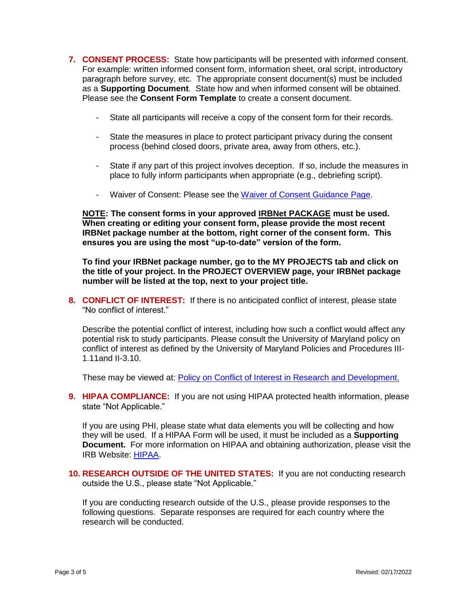- **7. CONSENT PROCESS:** State how participants will be presented with informed consent. For example: written informed consent form, information sheet, oral script, introductory paragraph before survey, etc. The appropriate consent document(s) must be included as a **Supporting Document**. State how and when informed consent will be obtained. Please see the **Consent Form Template** to create a consent document.
	- State all participants will receive a copy of the consent form for their records.
	- State the measures in place to protect participant privacy during the consent process (behind closed doors, private area, away from others, etc.).
	- State if any part of this project involves deception. If so, include the measures in place to fully inform participants when appropriate (e.g., debriefing script).
	- Waiver of Consent: Please see the [Waiver of Consent Guidance Page.](https://research.umd.edu/research-resources/research-compliance/institutional-review-board-irb/irb-forms#consent)

**NOTE: The consent forms in your approved IRBNet PACKAGE must be used. When creating or editing your consent form, please provide the most recent IRBNet package number at the bottom, right corner of the consent form. This ensures you are using the most "up-to-date" version of the form.** 

**To find your IRBNet package number, go to the MY PROJECTS tab and click on the title of your project. In the PROJECT OVERVIEW page, your IRBNet package number will be listed at the top, next to your project title.** 

**8. CONFLICT OF INTEREST:** If there is no anticipated conflict of interest, please state "No conflict of interest."

Describe the potential conflict of interest, including how such a conflict would affect any potential risk to study participants. Please consult the University of Maryland policy on conflict of interest as defined by the University of Maryland Policies and Procedures III-1.11and II-3.10.

These may be viewed at: [Policy on Conflict of Interest in Research and Development.](http://www.usmd.edu/regents/bylaws/SectionIII/III111.html)

**9. HIPAA COMPLIANCE:** If you are not using HIPAA protected health information, please state "Not Applicable."

If you are using PHI, please state what data elements you will be collecting and how they will be used. If a HIPAA Form will be used, it must be included as a **Supporting Document.** For more information on HIPAA and obtaining authorization, please visit the IRB Website: [HIPAA.](https://research.umd.edu/research-resources/research-compliance/institutional-review-board-irb/irb-forms#hippa)

**10. RESEARCH OUTSIDE OF THE UNITED STATES:** If you are not conducting research outside the U.S., please state "Not Applicable."

If you are conducting research outside of the U.S., please provide responses to the following questions. Separate responses are required for each country where the research will be conducted.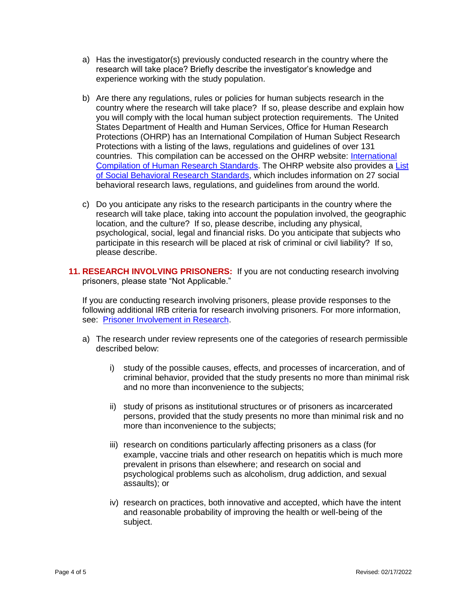- a) Has the investigator(s) previously conducted research in the country where the research will take place? Briefly describe the investigator's knowledge and experience working with the study population.
- b) Are there any regulations, rules or policies for human subjects research in the country where the research will take place? If so, please describe and explain how you will comply with the local human subject protection requirements. The United States Department of Health and Human Services, Office for Human Research Protections (OHRP) has an International Compilation of Human Subject Research Protections with a listing of the laws, regulations and guidelines of over 131 countries. This compilation can be accessed on the OHRP website: [International](https://www.hhs.gov/ohrp/international/compilation-human-research-standards/index.html)  [Compilation of Human Research Standards.](https://www.hhs.gov/ohrp/international/compilation-human-research-standards/index.html) The OHRP website also provides a List [of Social Behavioral Research Standards,](https://www.hhs.gov/ohrp/international/social-behavioral-research-standards/index.html) which includes information on 27 social behavioral research laws, regulations, and guidelines from around the world.
- c) Do you anticipate any risks to the research participants in the country where the research will take place, taking into account the population involved, the geographic location, and the culture? If so, please describe, including any physical, psychological, social, legal and financial risks. Do you anticipate that subjects who participate in this research will be placed at risk of criminal or civil liability? If so, please describe.
- **11. RESEARCH INVOLVING PRISONERS:** If you are not conducting research involving prisoners, please state "Not Applicable."

If you are conducting research involving prisoners, please provide responses to the following additional IRB criteria for research involving prisoners. For more information, see: [Prisoner Involvement in Research.](https://www.hhs.gov/ohrp/regulations-and-policy/guidance/prisoner-research-ohrp-guidance-2003/index.html)

- a) The research under review represents one of the categories of research permissible described below:
	- i) study of the possible causes, effects, and processes of incarceration, and of criminal behavior, provided that the study presents no more than minimal risk and no more than inconvenience to the subjects;
	- ii) study of prisons as institutional structures or of prisoners as incarcerated persons, provided that the study presents no more than minimal risk and no more than inconvenience to the subjects;
	- iii) research on conditions particularly affecting prisoners as a class (for example, vaccine trials and other research on hepatitis which is much more prevalent in prisons than elsewhere; and research on social and psychological problems such as alcoholism, drug addiction, and sexual assaults); or
	- iv) research on practices, both innovative and accepted, which have the intent and reasonable probability of improving the health or well-being of the subject.